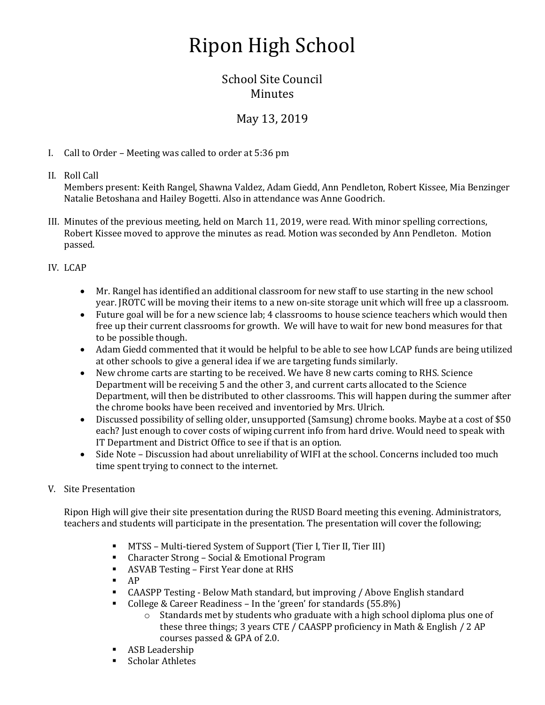# Ripon High School

## School Site Council **Minutes**

# May 13, 2019

I. Call to Order – Meeting was called to order at 5:36 pm

## II. Roll Call

Members present: Keith Rangel, Shawna Valdez, Adam Giedd, Ann Pendleton, Robert Kissee, Mia Benzinger Natalie Betoshana and Hailey Bogetti. Also in attendance was Anne Goodrich.

III. Minutes of the previous meeting, held on March 11, 2019, were read. With minor spelling corrections, Robert Kissee moved to approve the minutes as read. Motion was seconded by Ann Pendleton. Motion passed.

## IV. LCAP

- Mr. Rangel has identified an additional classroom for new staff to use starting in the new school year. JROTC will be moving their items to a new on-site storage unit which will free up a classroom.
- Future goal will be for a new science lab; 4 classrooms to house science teachers which would then free up their current classrooms for growth. We will have to wait for new bond measures for that to be possible though.
- Adam Giedd commented that it would be helpful to be able to see how LCAP funds are being utilized at other schools to give a general idea if we are targeting funds similarly.
- New chrome carts are starting to be received. We have 8 new carts coming to RHS. Science Department will be receiving 5 and the other 3, and current carts allocated to the Science Department, will then be distributed to other classrooms. This will happen during the summer after the chrome books have been received and inventoried by Mrs. Ulrich.
- Discussed possibility of selling older, unsupported (Samsung) chrome books. Maybe at a cost of \$50 each? Just enough to cover costs of wiping current info from hard drive. Would need to speak with IT Department and District Office to see if that is an option.
- Side Note Discussion had about unreliability of WIFI at the school. Concerns included too much time spent trying to connect to the internet.
- V. Site Presentation

Ripon High will give their site presentation during the RUSD Board meeting this evening. Administrators, teachers and students will participate in the presentation. The presentation will cover the following;

- MTSS Multi-tiered System of Support (Tier I, Tier II, Tier III)
- Character Strong Social & Emotional Program
- ASVAB Testing First Year done at RHS
- $AP$
- CAASPP Testing Below Math standard, but improving / Above English standard
- College & Career Readiness In the 'green' for standards (55.8%)
	- $\circ$  Standards met by students who graduate with a high school diploma plus one of these three things; 3 years CTE / CAASPP proficiency in Math & English / 2 AP courses passed & GPA of 2.0.
- ASB Leadership
- Scholar Athletes